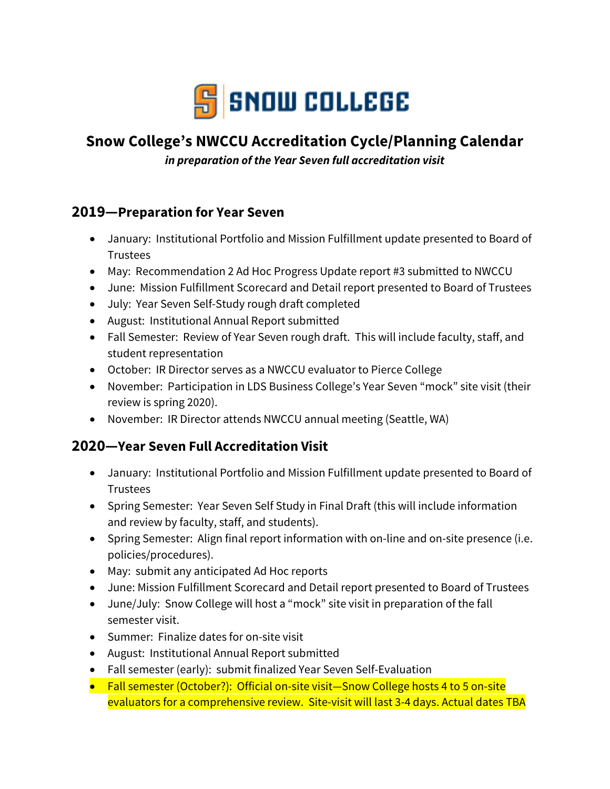

# **Snow College's NWCCU Accreditation Cycle/Planning Calendar**

*in preparation of the Year Seven full accreditation visit*

## **2019—Preparation for Year Seven**

- January: Institutional Portfolio and Mission Fulfillment update presented to Board of Trustees
- May: Recommendation 2 Ad Hoc Progress Update report #3 submitted to NWCCU
- June: Mission Fulfillment Scorecard and Detail report presented to Board of Trustees
- July: Year Seven Self-Study rough draft completed
- August: Institutional Annual Report submitted
- Fall Semester: Review of Year Seven rough draft. This will include faculty, staff, and student representation
- October: IR Director serves as a NWCCU evaluator to Pierce College
- November: Participation in LDS Business College's Year Seven "mock" site visit (their review is spring 2020).
- November: IR Director attends NWCCU annual meeting (Seattle, WA)

## **2020—Year Seven Full Accreditation Visit**

- January: Institutional Portfolio and Mission Fulfillment update presented to Board of Trustees
- Spring Semester: Year Seven Self Study in Final Draft (this will include information and review by faculty, staff, and students).
- Spring Semester: Align final report information with on-line and on-site presence (i.e. policies/procedures).
- May: submit any anticipated Ad Hoc reports
- June: Mission Fulfillment Scorecard and Detail report presented to Board of Trustees
- June/July: Snow College will host a "mock" site visit in preparation of the fall semester visit.
- Summer: Finalize dates for on-site visit
- August: Institutional Annual Report submitted
- Fall semester (early): submit finalized Year Seven Self-Evaluation
- Fall semester (October?): Official on-site visit—Snow College hosts 4 to 5 on-site evaluators for a comprehensive review. Site-visit will last 3-4 days. Actual dates TBA